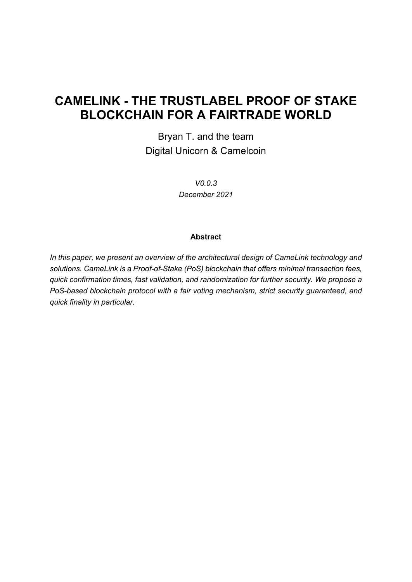# **CAMELINK - THE TRUSTLABEL PROOF OF STAKE BLOCKCHAIN FOR A FAIRTRADE WORLD**

Bryan T. and the team Digital Unicorn & Camelcoin

> *V0.0.3 December 2021*

#### **Abstract**

*In this paper, we present an overview of the architectural design of CameLink technology and solutions. CameLink is a Proof-of-Stake (PoS) blockchain that offers minimal transaction fees, quick confirmation times, fast validation, and randomization for further security. We propose a PoS-based blockchain protocol with a fair voting mechanism, strict security guaranteed, and quick finality in particular.*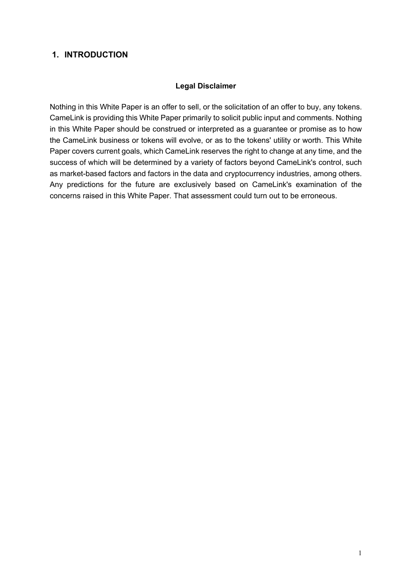### **1. INTRODUCTION**

#### **Legal Disclaimer**

Nothing in this White Paper is an offer to sell, or the solicitation of an offer to buy, any tokens. CameLink is providing this White Paper primarily to solicit public input and comments. Nothing in this White Paper should be construed or interpreted as a guarantee or promise as to how the CameLink business or tokens will evolve, or as to the tokens' utility or worth. This White Paper covers current goals, which CameLink reserves the right to change at any time, and the success of which will be determined by a variety of factors beyond CameLink's control, such as market-based factors and factors in the data and cryptocurrency industries, among others. Any predictions for the future are exclusively based on CameLink's examination of the concerns raised in this White Paper. That assessment could turn out to be erroneous.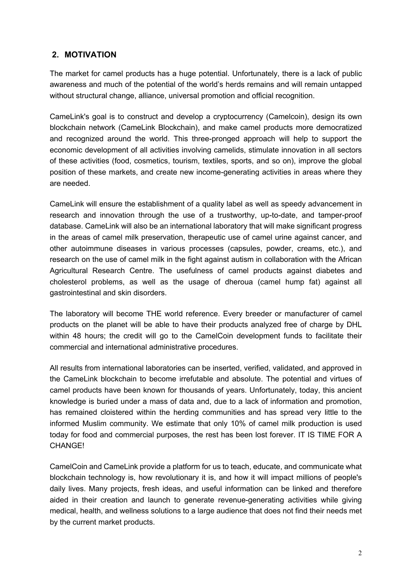# **2. MOTIVATION**

The market for camel products has a huge potential. Unfortunately, there is a lack of public awareness and much of the potential of the world's herds remains and will remain untapped without structural change, alliance, universal promotion and official recognition.

CameLink's goal is to construct and develop a cryptocurrency (Camelcoin), design its own blockchain network (CameLink Blockchain), and make camel products more democratized and recognized around the world. This three-pronged approach will help to support the economic development of all activities involving camelids, stimulate innovation in all sectors of these activities (food, cosmetics, tourism, textiles, sports, and so on), improve the global position of these markets, and create new income-generating activities in areas where they are needed.

CameLink will ensure the establishment of a quality label as well as speedy advancement in research and innovation through the use of a trustworthy, up-to-date, and tamper-proof database. CameLink will also be an international laboratory that will make significant progress in the areas of camel milk preservation, therapeutic use of camel urine against cancer, and other autoimmune diseases in various processes (capsules, powder, creams, etc.), and research on the use of camel milk in the fight against autism in collaboration with the African Agricultural Research Centre. The usefulness of camel products against diabetes and cholesterol problems, as well as the usage of dheroua (camel hump fat) against all gastrointestinal and skin disorders.

The laboratory will become THE world reference. Every breeder or manufacturer of camel products on the planet will be able to have their products analyzed free of charge by DHL within 48 hours; the credit will go to the CamelCoin development funds to facilitate their commercial and international administrative procedures.

All results from international laboratories can be inserted, verified, validated, and approved in the CameLink blockchain to become irrefutable and absolute. The potential and virtues of camel products have been known for thousands of years. Unfortunately, today, this ancient knowledge is buried under a mass of data and, due to a lack of information and promotion, has remained cloistered within the herding communities and has spread very little to the informed Muslim community. We estimate that only 10% of camel milk production is used today for food and commercial purposes, the rest has been lost forever. IT IS TIME FOR A CHANGE!

CamelCoin and CameLink provide a platform for us to teach, educate, and communicate what blockchain technology is, how revolutionary it is, and how it will impact millions of people's daily lives. Many projects, fresh ideas, and useful information can be linked and therefore aided in their creation and launch to generate revenue-generating activities while giving medical, health, and wellness solutions to a large audience that does not find their needs met by the current market products.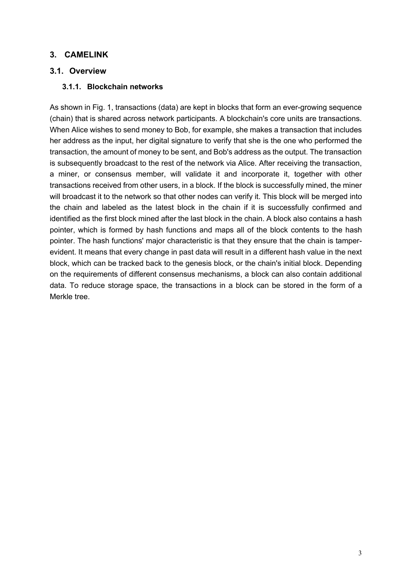### **3. CAMELINK**

### **3.1. Overview**

### **3.1.1. Blockchain networks**

As shown in Fig. 1, transactions (data) are kept in blocks that form an ever-growing sequence (chain) that is shared across network participants. A blockchain's core units are transactions. When Alice wishes to send money to Bob, for example, she makes a transaction that includes her address as the input, her digital signature to verify that she is the one who performed the transaction, the amount of money to be sent, and Bob's address as the output. The transaction is subsequently broadcast to the rest of the network via Alice. After receiving the transaction, a miner, or consensus member, will validate it and incorporate it, together with other transactions received from other users, in a block. If the block is successfully mined, the miner will broadcast it to the network so that other nodes can verify it. This block will be merged into the chain and labeled as the latest block in the chain if it is successfully confirmed and identified as the first block mined after the last block in the chain. A block also contains a hash pointer, which is formed by hash functions and maps all of the block contents to the hash pointer. The hash functions' major characteristic is that they ensure that the chain is tamperevident. It means that every change in past data will result in a different hash value in the next block, which can be tracked back to the genesis block, or the chain's initial block. Depending on the requirements of different consensus mechanisms, a block can also contain additional data. To reduce storage space, the transactions in a block can be stored in the form of a Merkle tree.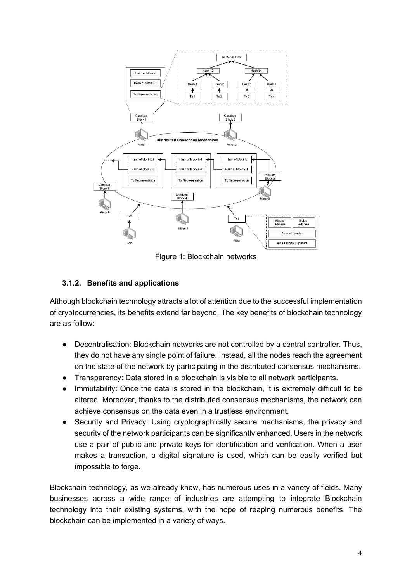

Figure 1: Blockchain networks

### **3.1.2. Benefits and applications**

Although blockchain technology attracts a lot of attention due to the successful implementation of cryptocurrencies, its benefits extend far beyond. The key benefits of blockchain technology are as follow:

- Decentralisation: Blockchain networks are not controlled by a central controller. Thus, they do not have any single point of failure. Instead, all the nodes reach the agreement on the state of the network by participating in the distributed consensus mechanisms.
- Transparency: Data stored in a blockchain is visible to all network participants.
- Immutability: Once the data is stored in the blockchain, it is extremely difficult to be altered. Moreover, thanks to the distributed consensus mechanisms, the network can achieve consensus on the data even in a trustless environment.
- Security and Privacy: Using cryptographically secure mechanisms, the privacy and security of the network participants can be significantly enhanced. Users in the network use a pair of public and private keys for identification and verification. When a user makes a transaction, a digital signature is used, which can be easily verified but impossible to forge.

Blockchain technology, as we already know, has numerous uses in a variety of fields. Many businesses across a wide range of industries are attempting to integrate Blockchain technology into their existing systems, with the hope of reaping numerous benefits. The blockchain can be implemented in a variety of ways.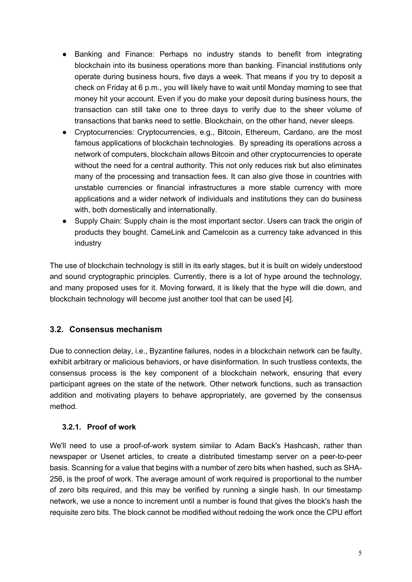- Banking and Finance: Perhaps no industry stands to benefit from integrating blockchain into its business operations more than banking. Financial institutions only operate during business hours, five days a week. That means if you try to deposit a check on Friday at 6 p.m., you will likely have to wait until Monday morning to see that money hit your account. Even if you do make your deposit during business hours, the transaction can still take one to three days to verify due to the sheer volume of transactions that banks need to settle. Blockchain, on the other hand, never sleeps.
- Cryptocurrencies: Cryptocurrencies, e.g., Bitcoin, Ethereum, Cardano, are the most famous applications of blockchain technologies. By spreading its operations across a network of computers, blockchain allows Bitcoin and other cryptocurrencies to operate without the need for a central authority. This not only reduces risk but also eliminates many of the processing and transaction fees. It can also give those in countries with unstable currencies or financial infrastructures a more stable currency with more applications and a wider network of individuals and institutions they can do business with, both domestically and internationally.
- Supply Chain: Supply chain is the most important sector. Users can track the origin of products they bought. CameLink and Camelcoin as a currency take advanced in this industry

The use of blockchain technology is still in its early stages, but it is built on widely understood and sound cryptographic principles. Currently, there is a lot of hype around the technology, and many proposed uses for it. Moving forward, it is likely that the hype will die down, and blockchain technology will become just another tool that can be used [4].

### **3.2. Consensus mechanism**

Due to connection delay, i.e., Byzantine failures, nodes in a blockchain network can be faulty, exhibit arbitrary or malicious behaviors, or have disinformation. In such trustless contexts, the consensus process is the key component of a blockchain network, ensuring that every participant agrees on the state of the network. Other network functions, such as transaction addition and motivating players to behave appropriately, are governed by the consensus method.

### **3.2.1. Proof of work**

We'll need to use a proof-of-work system similar to Adam Back's Hashcash, rather than newspaper or Usenet articles, to create a distributed timestamp server on a peer-to-peer basis. Scanning for a value that begins with a number of zero bits when hashed, such as SHA-256, is the proof of work. The average amount of work required is proportional to the number of zero bits required, and this may be verified by running a single hash. In our timestamp network, we use a nonce to increment until a number is found that gives the block's hash the requisite zero bits. The block cannot be modified without redoing the work once the CPU effort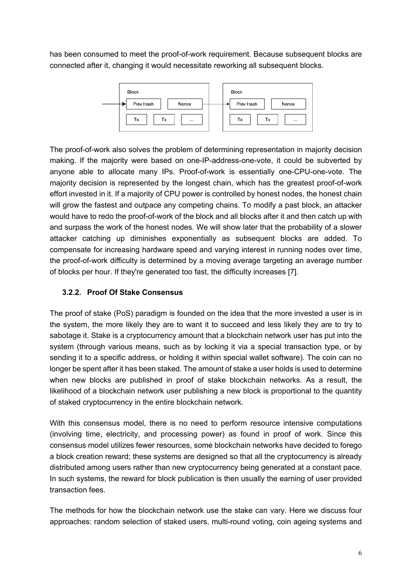has been consumed to meet the proof-of-work requirement. Because subsequent blocks are connected after it, changing it would necessitate reworking all subsequent blocks.



The proof-of-work also solves the problem of determining representation in majority decision making. If the majority were based on one-IP-address-one-vote, it could be subverted by anyone able to allocate many IPs. Proof-of-work is essentially one-CPU-one-vote. The majority decision is represented by the longest chain, which has the greatest proof-of-work effort invested in it. If a majority of CPU power is controlled by honest nodes, the honest chain will grow the fastest and outpace any competing chains. To modify a past block, an attacker would have to redo the proof-of-work of the block and all blocks after it and then catch up with and surpass the work of the honest nodes. We will show later that the probability of a slower attacker catching up diminishes exponentially as subsequent blocks are added. To compensate for increasing hardware speed and varying interest in running nodes over time, the proof-of-work difficulty is determined by a moving average targeting an average number of blocks per hour. If they're generated too fast, the difficulty increases [7].

### **3.2.2. Proof Of Stake Consensus**

The proof of stake (PoS) paradigm is founded on the idea that the more invested a user is in the system, the more likely they are to want it to succeed and less likely they are to try to sabotage it. Stake is a cryptocurrency amount that a blockchain network user has put into the system (through various means, such as by locking it via a special transaction type, or by sending it to a specific address, or holding it within special wallet software). The coin can no longer be spent after it has been staked. The amount of stake a user holds is used to determine when new blocks are published in proof of stake blockchain networks. As a result, the likelihood of a blockchain network user publishing a new block is proportional to the quantity of staked cryptocurrency in the entire blockchain network.

With this consensus model, there is no need to perform resource intensive computations (involving time, electricity, and processing power) as found in proof of work. Since this consensus model utilizes fewer resources, some blockchain networks have decided to forego a block creation reward; these systems are designed so that all the cryptocurrency is already distributed among users rather than new cryptocurrency being generated at a constant pace. In such systems, the reward for block publication is then usually the earning of user provided transaction fees.

The methods for how the blockchain network use the stake can vary. Here we discuss four approaches: random selection of staked users, multi-round voting, coin ageing systems and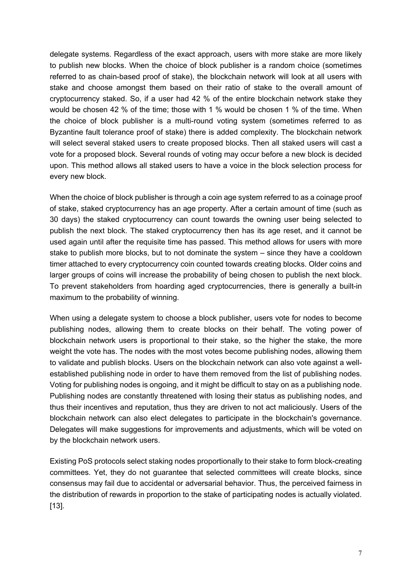delegate systems. Regardless of the exact approach, users with more stake are more likely to publish new blocks. When the choice of block publisher is a random choice (sometimes referred to as chain-based proof of stake), the blockchain network will look at all users with stake and choose amongst them based on their ratio of stake to the overall amount of cryptocurrency staked. So, if a user had 42 % of the entire blockchain network stake they would be chosen 42 % of the time; those with 1 % would be chosen 1 % of the time. When the choice of block publisher is a multi-round voting system (sometimes referred to as Byzantine fault tolerance proof of stake) there is added complexity. The blockchain network will select several staked users to create proposed blocks. Then all staked users will cast a vote for a proposed block. Several rounds of voting may occur before a new block is decided upon. This method allows all staked users to have a voice in the block selection process for every new block.

When the choice of block publisher is through a coin age system referred to as a coinage proof of stake, staked cryptocurrency has an age property. After a certain amount of time (such as 30 days) the staked cryptocurrency can count towards the owning user being selected to publish the next block. The staked cryptocurrency then has its age reset, and it cannot be used again until after the requisite time has passed. This method allows for users with more stake to publish more blocks, but to not dominate the system – since they have a cooldown timer attached to every cryptocurrency coin counted towards creating blocks. Older coins and larger groups of coins will increase the probability of being chosen to publish the next block. To prevent stakeholders from hoarding aged cryptocurrencies, there is generally a built-in maximum to the probability of winning.

When using a delegate system to choose a block publisher, users vote for nodes to become publishing nodes, allowing them to create blocks on their behalf. The voting power of blockchain network users is proportional to their stake, so the higher the stake, the more weight the vote has. The nodes with the most votes become publishing nodes, allowing them to validate and publish blocks. Users on the blockchain network can also vote against a wellestablished publishing node in order to have them removed from the list of publishing nodes. Voting for publishing nodes is ongoing, and it might be difficult to stay on as a publishing node. Publishing nodes are constantly threatened with losing their status as publishing nodes, and thus their incentives and reputation, thus they are driven to not act maliciously. Users of the blockchain network can also elect delegates to participate in the blockchain's governance. Delegates will make suggestions for improvements and adjustments, which will be voted on by the blockchain network users.

Existing PoS protocols select staking nodes proportionally to their stake to form block-creating committees. Yet, they do not guarantee that selected committees will create blocks, since consensus may fail due to accidental or adversarial behavior. Thus, the perceived fairness in the distribution of rewards in proportion to the stake of participating nodes is actually violated. [13].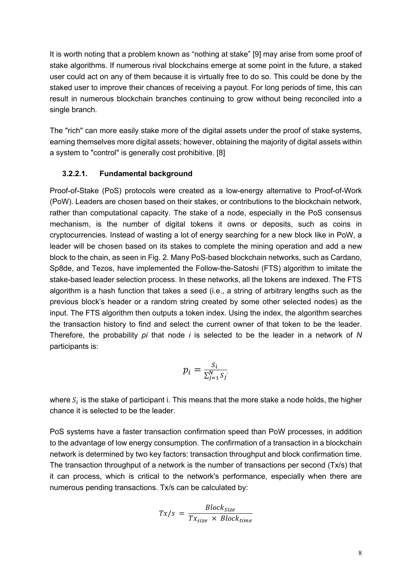It is worth noting that a problem known as "nothing at stake" [9] may arise from some proof of stake algorithms. If numerous rival blockchains emerge at some point in the future, a staked user could act on any of them because it is virtually free to do so. This could be done by the staked user to improve their chances of receiving a payout. For long periods of time, this can result in numerous blockchain branches continuing to grow without being reconciled into a single branch.

The "rich" can more easily stake more of the digital assets under the proof of stake systems, earning themselves more digital assets; however, obtaining the majority of digital assets within a system to "control" is generally cost prohibitive. [8]

#### **3.2.2.1. Fundamental background**

Proof-of-Stake (PoS) protocols were created as a low-energy alternative to Proof-of-Work (PoW). Leaders are chosen based on their stakes, or contributions to the blockchain network, rather than computational capacity. The stake of a node, especially in the PoS consensus mechanism, is the number of digital tokens it owns or deposits, such as coins in cryptocurrencies. Instead of wasting a lot of energy searching for a new block like in PoW, a leader will be chosen based on its stakes to complete the mining operation and add a new block to the chain, as seen in Fig. 2. Many PoS-based blockchain networks, such as Cardano, Sp8de, and Tezos, have implemented the Follow-the-Satoshi (FTS) algorithm to imitate the stake-based leader selection process. In these networks, all the tokens are indexed. The FTS algorithm is a hash function that takes a seed (i.e., a string of arbitrary lengths such as the previous block's header or a random string created by some other selected nodes) as the input. The FTS algorithm then outputs a token index. Using the index, the algorithm searches the transaction history to find and select the current owner of that token to be the leader. Therefore, the probability *pi* that node *i* is selected to be the leader in a network of *N*  participants is:

$$
p_i = \frac{S_i}{\sum_{j=1}^N S_j}
$$

where  $S_i$  is the stake of participant i. This means that the more stake a node holds, the higher chance it is selected to be the leader.

PoS systems have a faster transaction confirmation speed than PoW processes, in addition to the advantage of low energy consumption. The confirmation of a transaction in a blockchain network is determined by two key factors: transaction throughput and block confirmation time. The transaction throughput of a network is the number of transactions per second (Tx/s) that it can process, which is critical to the network's performance, especially when there are numerous pending transactions. Tx/s can be calculated by:

$$
Tx/s = \frac{Block_{Size}}{Tx_{size} \times Block_{time}}
$$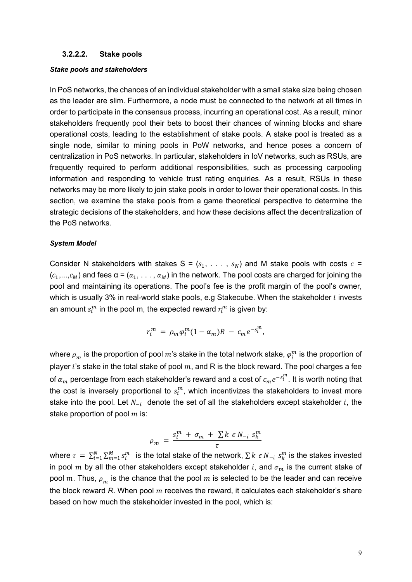#### **3.2.2.2. Stake pools**

#### *Stake pools and stakeholders*

In PoS networks, the chances of an individual stakeholder with a small stake size being chosen as the leader are slim. Furthermore, a node must be connected to the network at all times in order to participate in the consensus process, incurring an operational cost. As a result, minor stakeholders frequently pool their bets to boost their chances of winning blocks and share operational costs, leading to the establishment of stake pools. A stake pool is treated as a single node, similar to mining pools in PoW networks, and hence poses a concern of centralization in PoS networks. In particular, stakeholders in IoV networks, such as RSUs, are frequently required to perform additional responsibilities, such as processing carpooling information and responding to vehicle trust rating enquiries. As a result, RSUs in these networks may be more likely to join stake pools in order to lower their operational costs. In this section, we examine the stake pools from a game theoretical perspective to determine the strategic decisions of the stakeholders, and how these decisions affect the decentralization of the PoS networks.

#### *System Model*

Consider N stakeholders with stakes S =  $(s_1, \ldots, s_N)$  and M stake pools with costs  $c =$  $(c_1,...,c_M)$  and fees  $\alpha = (\alpha_1, \ldots, \alpha_M)$  in the network. The pool costs are charged for joining the pool and maintaining its operations. The pool's fee is the profit margin of the pool's owner, which is usually 3% in real-world stake pools, e.g Stakecube. When the stakeholder  $i$  invests an amount  $s^m_i$  in the pool m, the expected reward  $r^m_i$  is given by:

$$
r_i^m = \rho_m \varphi_i^m (1 - \alpha_m) R - c_m e^{-s_i^m},
$$

where  $\rho_m^{}$  is the proportion of pool  $m$ 's stake in the total network stake,  $\varphi^m_i$  is the proportion of player i's stake in the total stake of pool  $m$ , and R is the block reward. The pool charges a fee of  $\alpha_m$  percentage from each stakeholder's reward and a cost of  $c_m e^{-s^m_l}$ . It is worth noting that the cost is inversely proportional to  $s_i^m$ , which incentivizes the stakeholders to invest more stake into the pool. Let  $N_{-i}$  denote the set of all the stakeholders except stakeholder  $i$ , the stake proportion of pool  $m$  is:

$$
\rho_m = \frac{s_i^m + \sigma_m + \sum k \epsilon N_{-i} s_k^m}{\tau}
$$

where  $\tau = \sum_{i=1}^N \sum_{m=1}^M s_i^m$  is the total stake of the network,  $\sum k \in N_{-i}$   $s_k^m$  is the stakes invested in pool m by all the other stakeholders except stakeholder i, and  $\sigma_m$  is the current stake of pool m. Thus,  $\rho_m$  is the chance that the pool m is selected to be the leader and can receive the block reward  $R$ . When pool  $m$  receives the reward, it calculates each stakeholder's share based on how much the stakeholder invested in the pool, which is: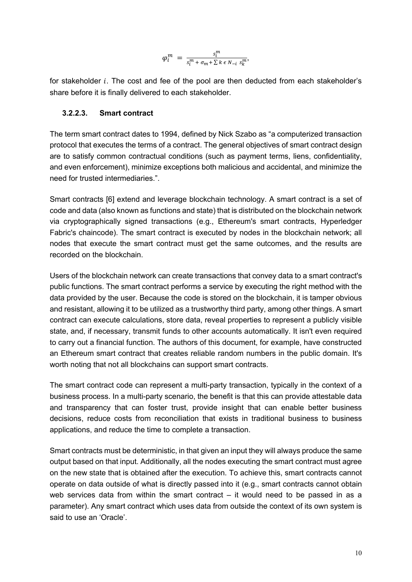$$
\varphi_i^m\ =\ \frac{s_i^m}{s_i^m+\sigma_m+\sum k\,\epsilon\,N_{-i}\ s_k^m},
$$

for stakeholder i. The cost and fee of the pool are then deducted from each stakeholder's share before it is finally delivered to each stakeholder.

#### **3.2.2.3. Smart contract**

The term smart contract dates to 1994, defined by Nick Szabo as "a computerized transaction protocol that executes the terms of a contract. The general objectives of smart contract design are to satisfy common contractual conditions (such as payment terms, liens, confidentiality, and even enforcement), minimize exceptions both malicious and accidental, and minimize the need for trusted intermediaries.".

Smart contracts [6] extend and leverage blockchain technology. A smart contract is a set of code and data (also known as functions and state) that is distributed on the blockchain network via cryptographically signed transactions (e.g., Ethereum's smart contracts, Hyperledger Fabric's chaincode). The smart contract is executed by nodes in the blockchain network; all nodes that execute the smart contract must get the same outcomes, and the results are recorded on the blockchain.

Users of the blockchain network can create transactions that convey data to a smart contract's public functions. The smart contract performs a service by executing the right method with the data provided by the user. Because the code is stored on the blockchain, it is tamper obvious and resistant, allowing it to be utilized as a trustworthy third party, among other things. A smart contract can execute calculations, store data, reveal properties to represent a publicly visible state, and, if necessary, transmit funds to other accounts automatically. It isn't even required to carry out a financial function. The authors of this document, for example, have constructed an Ethereum smart contract that creates reliable random numbers in the public domain. It's worth noting that not all blockchains can support smart contracts.

The smart contract code can represent a multi-party transaction, typically in the context of a business process. In a multi-party scenario, the benefit is that this can provide attestable data and transparency that can foster trust, provide insight that can enable better business decisions, reduce costs from reconciliation that exists in traditional business to business applications, and reduce the time to complete a transaction.

Smart contracts must be deterministic, in that given an input they will always produce the same output based on that input. Additionally, all the nodes executing the smart contract must agree on the new state that is obtained after the execution. To achieve this, smart contracts cannot operate on data outside of what is directly passed into it (e.g., smart contracts cannot obtain web services data from within the smart contract  $-$  it would need to be passed in as a parameter). Any smart contract which uses data from outside the context of its own system is said to use an 'Oracle'.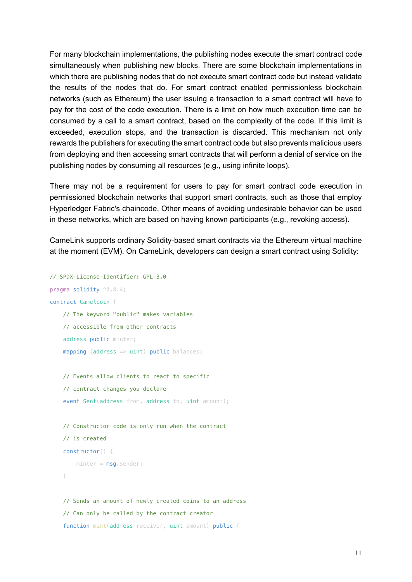For many blockchain implementations, the publishing nodes execute the smart contract code simultaneously when publishing new blocks. There are some blockchain implementations in which there are publishing nodes that do not execute smart contract code but instead validate the results of the nodes that do. For smart contract enabled permissionless blockchain networks (such as Ethereum) the user issuing a transaction to a smart contract will have to pay for the cost of the code execution. There is a limit on how much execution time can be consumed by a call to a smart contract, based on the complexity of the code. If this limit is exceeded, execution stops, and the transaction is discarded. This mechanism not only rewards the publishers for executing the smart contract code but also prevents malicious users from deploying and then accessing smart contracts that will perform a denial of service on the publishing nodes by consuming all resources (e.g., using infinite loops).

There may not be a requirement for users to pay for smart contract code execution in permissioned blockchain networks that support smart contracts, such as those that employ Hyperledger Fabric's chaincode. Other means of avoiding undesirable behavior can be used in these networks, which are based on having known participants (e.g., revoking access).

CameLink supports ordinary Solidity-based smart contracts via the Ethereum virtual machine at the moment (EVM). On CameLink, developers can design a smart contract using Solidity:

```
// SPDX-License-Identifier: GPL-3.0
pragma solidity ^0.8.4;
contract Camelcoin {
     // The keyword "public" makes variables
     // accessible from other contracts
     address public minter;
    mapping (address \Rightarrow uint) public balances;
     // Events allow clients to react to specific
     // contract changes you declare
     event Sent(address from, address to, uint amount);
     // Constructor code is only run when the contract
     // is created
     constructor() {
        minter = msg.sender; }
     // Sends an amount of newly created coins to an address
     // Can only be called by the contract creator
```
function mint(address receiver, uint amount) public {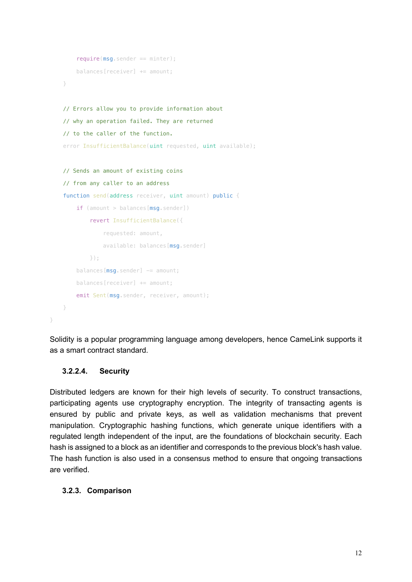```
 require(msg.sender == minter);
     balances[receiver] += amount;
 }
 // Errors allow you to provide information about
 // why an operation failed. They are returned
 // to the caller of the function.
error InsufficientBalance(uint requested, uint available);
 // Sends an amount of existing coins
 // from any caller to an address
function send(address receiver, uint amount) public {
    if (amount > balances[msg.sender])
         revert InsufficientBalance({
             requested: amount,
            available: balances[msg.sender]
         });
    balances [msg.sender] -= amount;
     balances[receiver] += amount;
    emit Sent(msg.sender, receiver, amount);
```
Solidity is a popular programming language among developers, hence CameLink supports it as a smart contract standard.

#### **3.2.2.4. Security**

}

}

Distributed ledgers are known for their high levels of security. To construct transactions, participating agents use cryptography encryption. The integrity of transacting agents is ensured by public and private keys, as well as validation mechanisms that prevent manipulation. Cryptographic hashing functions, which generate unique identifiers with a regulated length independent of the input, are the foundations of blockchain security. Each hash is assigned to a block as an identifier and corresponds to the previous block's hash value. The hash function is also used in a consensus method to ensure that ongoing transactions are verified.

#### **3.2.3. Comparison**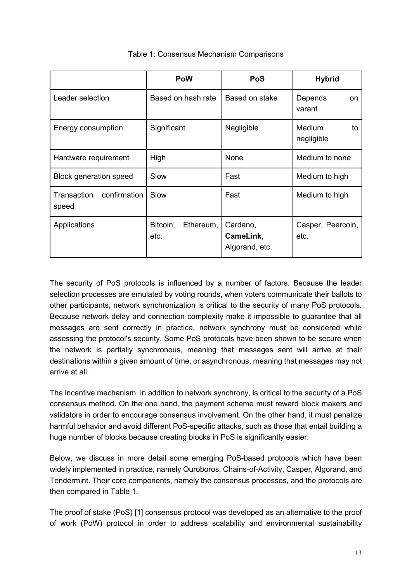|                                      | PoW                           | PoS                                     | <b>Hybrid</b>                     |
|--------------------------------------|-------------------------------|-----------------------------------------|-----------------------------------|
| Leader selection                     | Based on hash rate            | Based on stake                          | Depends<br>on.<br>varant          |
| Energy consumption                   | Significant                   | Negligible                              | <b>Medium</b><br>to<br>negligible |
| Hardware requirement                 | High                          | None                                    | Medium to none                    |
| <b>Block generation speed</b>        | Slow                          | Fast                                    | Medium to high                    |
| Transaction<br>confirmation<br>speed | Slow                          | Fast                                    | Medium to high                    |
| Applications                         | Bitcoin,<br>Ethereum,<br>etc. | Cardano,<br>CameLink,<br>Algorand, etc. | Casper, Peercoin,<br>etc.         |

#### Table 1: Consensus Mechanism Comparisons

The security of PoS protocols is influenced by a number of factors. Because the leader selection processes are emulated by voting rounds, when voters communicate their ballots to other participants, network synchronization is critical to the security of many PoS protocols. Because network delay and connection complexity make it impossible to guarantee that all messages are sent correctly in practice, network synchrony must be considered while assessing the protocol's security. Some PoS protocols have been shown to be secure when the network is partially synchronous, meaning that messages sent will arrive at their destinations within a given amount of time, or asynchronous, meaning that messages may not arrive at all.

The incentive mechanism, in addition to network synchrony, is critical to the security of a PoS consensus method. On the one hand, the payment scheme must reward block makers and validators in order to encourage consensus involvement. On the other hand, it must penalize harmful behavior and avoid different PoS-specific attacks, such as those that entail building a huge number of blocks because creating blocks in PoS is significantly easier.

Below, we discuss in more detail some emerging PoS-based protocols which have been widely implemented in practice, namely Ouroboros, Chains-of-Activity, Casper, Algorand, and Tendermint. Their core components, namely the consensus processes, and the protocols are then compared in Table 1.

The proof of stake (PoS) [1] consensus protocol was developed as an alternative to the proof of work (PoW) protocol in order to address scalability and environmental sustainability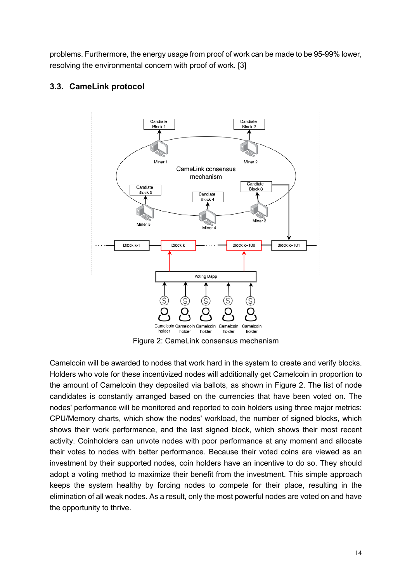problems. Furthermore, the energy usage from proof of work can be made to be 95-99% lower, resolving the environmental concern with proof of work. [3]

### **3.3. CameLink protocol**



Figure 2: CameLink consensus mechanism

Camelcoin will be awarded to nodes that work hard in the system to create and verify blocks. Holders who vote for these incentivized nodes will additionally get Camelcoin in proportion to the amount of Camelcoin they deposited via ballots, as shown in Figure 2. The list of node candidates is constantly arranged based on the currencies that have been voted on. The nodes' performance will be monitored and reported to coin holders using three major metrics: CPU/Memory charts, which show the nodes' workload, the number of signed blocks, which shows their work performance, and the last signed block, which shows their most recent activity. Coinholders can unvote nodes with poor performance at any moment and allocate their votes to nodes with better performance. Because their voted coins are viewed as an investment by their supported nodes, coin holders have an incentive to do so. They should adopt a voting method to maximize their benefit from the investment. This simple approach keeps the system healthy by forcing nodes to compete for their place, resulting in the elimination of all weak nodes. As a result, only the most powerful nodes are voted on and have the opportunity to thrive.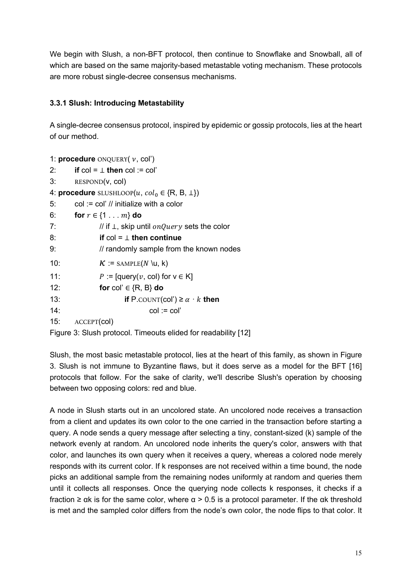We begin with Slush, a non-BFT protocol, then continue to Snowflake and Snowball, all of which are based on the same majority-based metastable voting mechanism. These protocols are more robust single-decree consensus mechanisms.

### **3.3.1 Slush: Introducing Metastability**

A single-decree consensus protocol, inspired by epidemic or gossip protocols, lies at the heart of our method.

```
1: procedure ONQUERY(v, col')2: if col = \perp then col := col'3: RESPOND(v, col)
4: procedure SLUSHLOOP(u, col_0 \in \{R, B, \perp\})5: col := col' // initialize with a color
6: for r \in \{1, ..., m\} do
7: // if <math>\perp</math>, skip until <i>onQuery</i> sets the color8: if col = ⊥ then continue
9: // randomly sample from the known nodes
10: K := \text{SAMPLE}(N \setminus u, k)11: P := \left[ \text{query}(v, \text{ col}) \text{ for } v \in K \right]12: for col' ∈ {R, B} do
13: if P.COUNT(col') \ge \alpha \cdot k then
14: col := col'
15: ACCEPT(col)
Figure 3: Slush protocol. Timeouts elided for readability [12]
```
Slush, the most basic metastable protocol, lies at the heart of this family, as shown in Figure 3. Slush is not immune to Byzantine flaws, but it does serve as a model for the BFT [16] protocols that follow. For the sake of clarity, we'll describe Slush's operation by choosing between two opposing colors: red and blue.

A node in Slush starts out in an uncolored state. An uncolored node receives a transaction from a client and updates its own color to the one carried in the transaction before starting a query. A node sends a query message after selecting a tiny, constant-sized (k) sample of the network evenly at random. An uncolored node inherits the query's color, answers with that color, and launches its own query when it receives a query, whereas a colored node merely responds with its current color. If k responses are not received within a time bound, the node picks an additional sample from the remaining nodes uniformly at random and queries them until it collects all responses. Once the querying node collects k responses, it checks if a fraction ≥ αk is for the same color, where α > 0.5 is a protocol parameter. If the αk threshold is met and the sampled color differs from the node's own color, the node flips to that color. It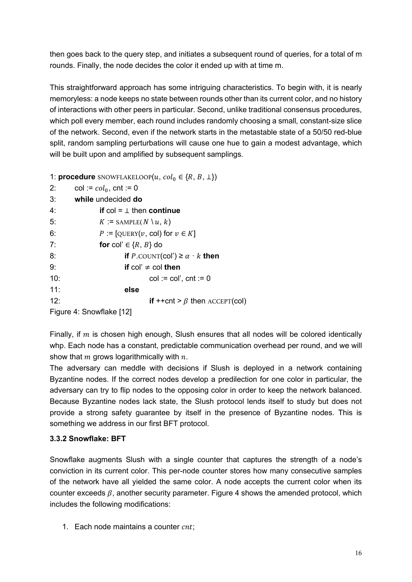then goes back to the query step, and initiates a subsequent round of queries, for a total of m rounds. Finally, the node decides the color it ended up with at time m.

This straightforward approach has some intriguing characteristics. To begin with, it is nearly memoryless: a node keeps no state between rounds other than its current color, and no history of interactions with other peers in particular. Second, unlike traditional consensus procedures, which poll every member, each round includes randomly choosing a small, constant-size slice of the network. Second, even if the network starts in the metastable state of a 50/50 red-blue split, random sampling perturbations will cause one hue to gain a modest advantage, which will be built upon and amplified by subsequent samplings.

1: **procedure** SNOWFLAKELOOP $(u, col_0 \in \{R, B, \perp\})$ 

| 2:                       | $col := col_0$ , cnt := 0                                  |  |
|--------------------------|------------------------------------------------------------|--|
| 3:                       | while undecided do                                         |  |
| 4:                       | if col = $\perp$ then continue                             |  |
| 5:                       | $K :=$ SAMPLE( $N \ u, k$ )                                |  |
| 6:                       | P := $[QUERY(v, col)$ for $v \in K]$                       |  |
| 7:                       | for col' $\in \{R, B\}$ do                                 |  |
| 8:                       | if P.COUNT(COI') $\geq \alpha \cdot k$ then                |  |
| 9:                       | if col' $\neq$ col then                                    |  |
| 10:                      | $col := col'$ , $cnt := 0$                                 |  |
| 11:                      | else                                                       |  |
| 12:                      | <b>if</b> ++cnt > $\beta$ then $\text{ACCEPT}(\text{col})$ |  |
| Figure 4: Snowflake [12] |                                                            |  |

Finally, if  $m$  is chosen high enough, Slush ensures that all nodes will be colored identically whp. Each node has a constant, predictable communication overhead per round, and we will show that  $m$  grows logarithmically with  $n$ .

The adversary can meddle with decisions if Slush is deployed in a network containing Byzantine nodes. If the correct nodes develop a predilection for one color in particular, the adversary can try to flip nodes to the opposing color in order to keep the network balanced. Because Byzantine nodes lack state, the Slush protocol lends itself to study but does not provide a strong safety guarantee by itself in the presence of Byzantine nodes. This is something we address in our first BFT protocol.

### **3.3.2 Snowflake: BFT**

Snowflake augments Slush with a single counter that captures the strength of a node's conviction in its current color. This per-node counter stores how many consecutive samples of the network have all yielded the same color. A node accepts the current color when its counter exceeds  $\beta$ , another security parameter. Figure 4 shows the amended protocol, which includes the following modifications:

1. Each node maintains a counter  $cnt$ ;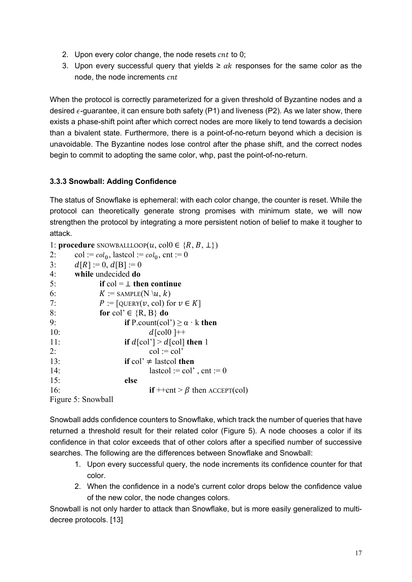- 2. Upon every color change, the node resets  $cnt$  to 0;
- 3. Upon every successful query that yields ≥  $\alpha k$  responses for the same color as the node, the node increments cnt

When the protocol is correctly parameterized for a given threshold of Byzantine nodes and a desired  $\epsilon$ -guarantee, it can ensure both safety (P1) and liveness (P2). As we later show, there exists a phase-shift point after which correct nodes are more likely to tend towards a decision than a bivalent state. Furthermore, there is a point-of-no-return beyond which a decision is unavoidable. The Byzantine nodes lose control after the phase shift, and the correct nodes begin to commit to adopting the same color, whp, past the point-of-no-return.

### **3.3.3 Snowball: Adding Confidence**

The status of Snowflake is ephemeral: with each color change, the counter is reset. While the protocol can theoretically generate strong promises with minimum state, we will now strengthen the protocol by integrating a more persistent notion of belief to make it tougher to attack.

| 1: <b>procedure</b> SNOWBALLLOOP $(u, \text{col0} \in \{R, B, \perp\})$ |                                                                           |  |  |  |
|-------------------------------------------------------------------------|---------------------------------------------------------------------------|--|--|--|
| 2:                                                                      | $col := col_0$ , lastcol $:= col_0$ , cnt $:= 0$                          |  |  |  |
| 3:                                                                      | $d[R] := 0, d[B] := 0$                                                    |  |  |  |
| 4:                                                                      | while undecided do                                                        |  |  |  |
| 5:                                                                      | if $col = \perp$ then continue                                            |  |  |  |
| 6:                                                                      | $K :=$ SAMPLE(N \u, k)                                                    |  |  |  |
| 7:                                                                      | $P := [\text{QUERY}(v, \text{col}) \text{ for } v \in K]$                 |  |  |  |
| 8:                                                                      | for col' $\in \{R, B\}$ do                                                |  |  |  |
| 9:                                                                      | if P.count(col') $\geq \alpha \cdot k$ then                               |  |  |  |
| 10:                                                                     | $d$ [col $0$ ]++                                                          |  |  |  |
| 11:                                                                     | if $d[col'] > d[col]$ then 1                                              |  |  |  |
| 2:                                                                      | $col := col'$                                                             |  |  |  |
| 13:                                                                     | if col' $\neq$ lastcol then                                               |  |  |  |
| 14:                                                                     | lastcol := col', cnt := 0                                                 |  |  |  |
| 15:                                                                     | else                                                                      |  |  |  |
| 16:                                                                     | $\mathbf{if} +\text{ent} > \beta \text{ then } \text{ACCEPT}(\text{col})$ |  |  |  |
| Figure 5: Snowball                                                      |                                                                           |  |  |  |

Snowball adds confidence counters to Snowflake, which track the number of queries that have returned a threshold result for their related color (Figure 5). A node chooses a color if its confidence in that color exceeds that of other colors after a specified number of successive searches. The following are the differences between Snowflake and Snowball:

- 1. Upon every successful query, the node increments its confidence counter for that color.
- 2. When the confidence in a node's current color drops below the confidence value of the new color, the node changes colors.

Snowball is not only harder to attack than Snowflake, but is more easily generalized to multidecree protocols. [13]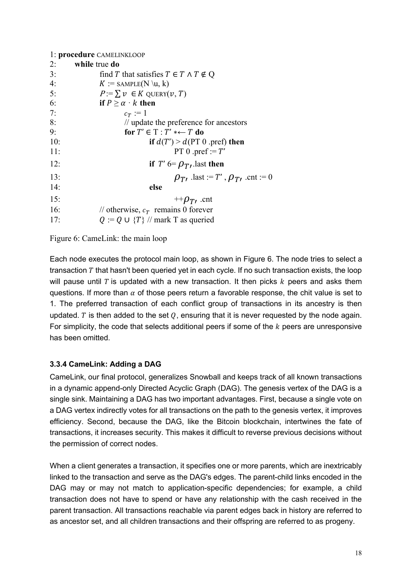| 1: procedure CAMELINKLOOP |                                                   |  |
|---------------------------|---------------------------------------------------|--|
| 2:                        | while true do                                     |  |
| 3:                        | find T that satisfies $T \in T \wedge T \notin Q$ |  |
| 4:                        | $K :=$ SAMPLE(N \\u, k)                           |  |
| 5:                        | $P:=\sum v \in K$ QUERY $(v, T)$                  |  |
| 6:                        | if $P \ge \alpha \cdot k$ then                    |  |
| 7:                        | $c_T := 1$                                        |  |
| 8:                        | $\frac{1}{2}$ update the preference for ancestors |  |
| 9:                        | for $T' \in T : T' * \leftarrow T$ do             |  |
| 10:                       | if $d(T') > d(PT 0 \text{ .pref})$ then           |  |
| 11:                       | PT 0 .pref := $T'$                                |  |
| 12:                       | if T' $6 = \rho_T$ , last then                    |  |
| 13:                       | $\rho_{T}$ , .last := T', $\rho_{T}$ , .cnt := 0  |  |
| 14:                       | else                                              |  |
| 15:                       | $+\rho_{T}$ , .cnt                                |  |
| 16:                       | // otherwise, $c_T$ remains 0 forever             |  |
| 17:                       | $Q := Q \cup {T}$ // mark T as queried            |  |

#### Figure 6: CameLink: the main loop

Each node executes the protocol main loop, as shown in Figure 6. The node tries to select a transaction  $T$  that hasn't been queried yet in each cycle. If no such transaction exists, the loop will pause until T is updated with a new transaction. It then picks  $k$  peers and asks them questions. If more than  $\alpha$  of those peers return a favorable response, the chit value is set to 1. The preferred transaction of each conflict group of transactions in its ancestry is then updated. T is then added to the set  $O$ , ensuring that it is never requested by the node again. For simplicity, the code that selects additional peers if some of the  $k$  peers are unresponsive has been omitted.

### **3.3.4 CameLink: Adding a DAG**

CameLink, our final protocol, generalizes Snowball and keeps track of all known transactions in a dynamic append-only Directed Acyclic Graph (DAG). The genesis vertex of the DAG is a single sink. Maintaining a DAG has two important advantages. First, because a single vote on a DAG vertex indirectly votes for all transactions on the path to the genesis vertex, it improves efficiency. Second, because the DAG, like the Bitcoin blockchain, intertwines the fate of transactions, it increases security. This makes it difficult to reverse previous decisions without the permission of correct nodes.

When a client generates a transaction, it specifies one or more parents, which are inextricably linked to the transaction and serve as the DAG's edges. The parent-child links encoded in the DAG may or may not match to application-specific dependencies; for example, a child transaction does not have to spend or have any relationship with the cash received in the parent transaction. All transactions reachable via parent edges back in history are referred to as ancestor set, and all children transactions and their offspring are referred to as progeny.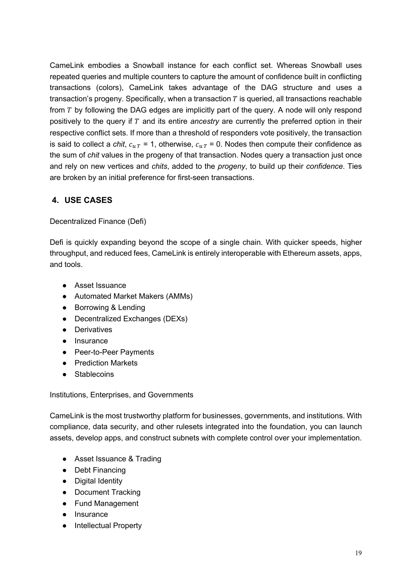CameLink embodies a Snowball instance for each conflict set. Whereas Snowball uses repeated queries and multiple counters to capture the amount of confidence built in conflicting transactions (colors), CameLink takes advantage of the DAG structure and uses a transaction's progeny. Specifically, when a transaction  $T$  is queried, all transactions reachable from  $T$  by following the DAG edges are implicitly part of the query. A node will only respond positively to the query if T and its entire *ancestry* are currently the preferred option in their respective conflict sets. If more than a threshold of responders vote positively, the transaction is said to collect a *chit*,  $c_{uT}$  = 1, otherwise,  $c_{uT}$  = 0. Nodes then compute their confidence as the sum of *chit* values in the progeny of that transaction. Nodes query a transaction just once and rely on new vertices and *chits*, added to the *progeny*, to build up their *confidence*. Ties are broken by an initial preference for first-seen transactions.

### **4. USE CASES**

Decentralized Finance (Defi)

Defi is quickly expanding beyond the scope of a single chain. With quicker speeds, higher throughput, and reduced fees, CameLink is entirely interoperable with Ethereum assets, apps, and tools.

- Asset Issuance
- Automated Market Makers (AMMs)
- Borrowing & Lending
- Decentralized Exchanges (DEXs)
- Derivatives
- Insurance
- Peer-to-Peer Payments
- Prediction Markets
- Stablecoins

Institutions, Enterprises, and Governments

CameLink is the most trustworthy platform for businesses, governments, and institutions. With compliance, data security, and other rulesets integrated into the foundation, you can launch assets, develop apps, and construct subnets with complete control over your implementation.

- Asset Issuance & Trading
- Debt Financing
- Digital Identity
- Document Tracking
- Fund Management
- Insurance
- **Intellectual Property**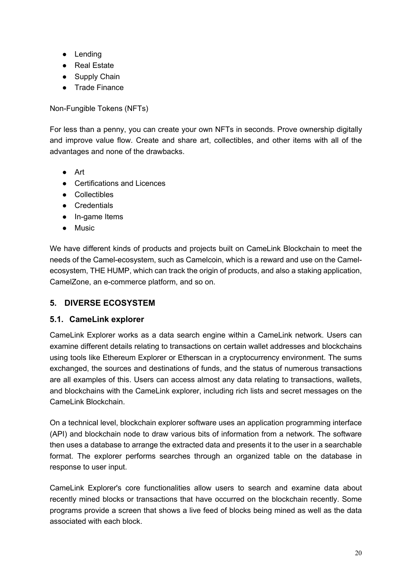- Lending
- Real Estate
- Supply Chain
- Trade Finance

Non-Fungible Tokens (NFTs)

For less than a penny, you can create your own NFTs in seconds. Prove ownership digitally and improve value flow. Create and share art, collectibles, and other items with all of the advantages and none of the drawbacks.

- Art
- Certifications and Licences
- Collectibles
- Credentials
- In-game Items
- Music

We have different kinds of products and projects built on CameLink Blockchain to meet the needs of the Camel-ecosystem, such as Camelcoin, which is a reward and use on the Camelecosystem, THE HUMP, which can track the origin of products, and also a staking application, CamelZone, an e-commerce platform, and so on.

### **5. DIVERSE ECOSYSTEM**

### **5.1. CameLink explorer**

CameLink Explorer works as a data search engine within a CameLink network. Users can examine different details relating to transactions on certain wallet addresses and blockchains using tools like Ethereum Explorer or Etherscan in a cryptocurrency environment. The sums exchanged, the sources and destinations of funds, and the status of numerous transactions are all examples of this. Users can access almost any data relating to transactions, wallets, and blockchains with the CameLink explorer, including rich lists and secret messages on the CameLink Blockchain.

On a technical level, blockchain explorer software uses an application programming interface (API) and blockchain node to draw various bits of information from a network. The software then uses a database to arrange the extracted data and presents it to the user in a searchable format. The explorer performs searches through an organized table on the database in response to user input.

CameLink Explorer's core functionalities allow users to search and examine data about recently mined blocks or transactions that have occurred on the blockchain recently. Some programs provide a screen that shows a live feed of blocks being mined as well as the data associated with each block.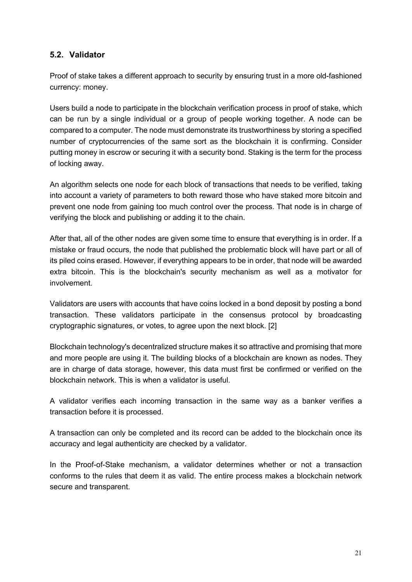### **5.2. Validator**

Proof of stake takes a different approach to security by ensuring trust in a more old-fashioned currency: money.

Users build a node to participate in the blockchain verification process in proof of stake, which can be run by a single individual or a group of people working together. A node can be compared to a computer. The node must demonstrate its trustworthiness by storing a specified number of cryptocurrencies of the same sort as the blockchain it is confirming. Consider putting money in escrow or securing it with a security bond. Staking is the term for the process of locking away.

An algorithm selects one node for each block of transactions that needs to be verified, taking into account a variety of parameters to both reward those who have staked more bitcoin and prevent one node from gaining too much control over the process. That node is in charge of verifying the block and publishing or adding it to the chain.

After that, all of the other nodes are given some time to ensure that everything is in order. If a mistake or fraud occurs, the node that published the problematic block will have part or all of its piled coins erased. However, if everything appears to be in order, that node will be awarded extra bitcoin. This is the blockchain's security mechanism as well as a motivator for involvement.

Validators are users with accounts that have coins locked in a bond deposit by posting a bond transaction. These validators participate in the consensus protocol by broadcasting cryptographic signatures, or votes, to agree upon the next block. [2]

Blockchain technology's decentralized structure makes it so attractive and promising that more and more people are using it. The building blocks of a blockchain are known as nodes. They are in charge of data storage, however, this data must first be confirmed or verified on the blockchain network. This is when a validator is useful.

A validator verifies each incoming transaction in the same way as a banker verifies a transaction before it is processed.

A transaction can only be completed and its record can be added to the blockchain once its accuracy and legal authenticity are checked by a validator.

In the Proof-of-Stake mechanism, a validator determines whether or not a transaction conforms to the rules that deem it as valid. The entire process makes a blockchain network secure and transparent.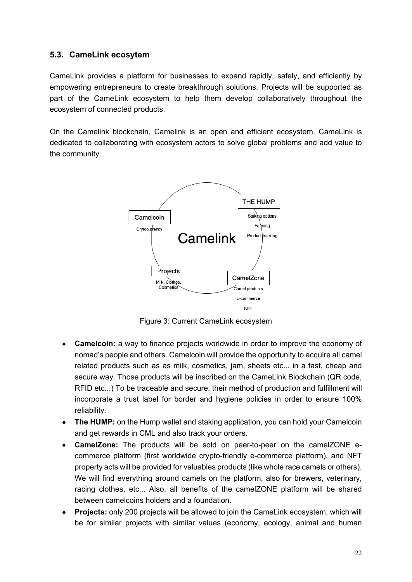### **5.3. CameLink ecosytem**

CameLink provides a platform for businesses to expand rapidly, safely, and efficiently by empowering entrepreneurs to create breakthrough solutions. Projects will be supported as part of the CameLink ecosystem to help them develop collaboratively throughout the ecosystem of connected products.

On the Camelink blockchain, Camelink is an open and efficient ecosystem. CameLink is dedicated to collaborating with ecosystem actors to solve global problems and add value to the community.



Figure 3: Current CameLink ecosystem

- **Camelcoin:** a way to finance projects worldwide in order to improve the economy of nomad's people and others. Camelcoin will provide the opportunity to acquire all camel related products such as as milk, cosmetics, jam, sheets etc... in a fast, cheap and secure way. Those products will be inscribed on the CameLink Blockchain (QR code, RFID etc...) To be traceable and secure, their method of production and fulfillment will incorporate a trust label for border and hygiene policies in order to ensure 100% reliability.
- **The HUMP:** on the Hump wallet and staking application, you can hold your Camelcoin and get rewards in CML and also track your orders.
- **CamelZone:** The products will be sold on peer-to-peer on the camelZONE ecommerce platform (first worldwide crypto-friendly e-commerce platform), and NFT property acts will be provided for valuables products (like whole race camels or others). We will find everything around camels on the platform, also for brewers, veterinary, racing clothes, etc... Also, all benefits of the camelZONE platform will be shared between camelcoins holders and a foundation.
- **Projects:** only 200 projects will be allowed to join the CameLink ecosystem, which will be for similar projects with similar values (economy, ecology, animal and human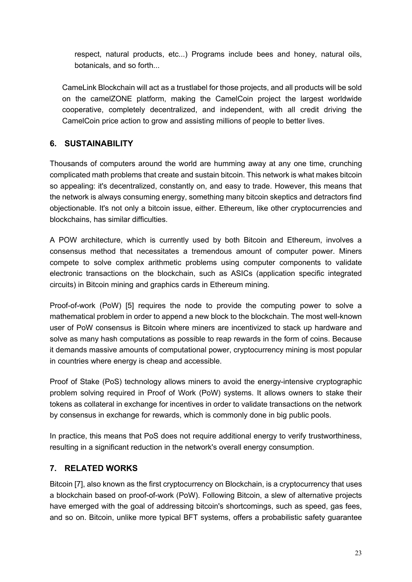respect, natural products, etc...) Programs include bees and honey, natural oils, botanicals, and so forth...

CameLink Blockchain will act as a trustlabel for those projects, and all products will be sold on the camelZONE platform, making the CamelCoin project the largest worldwide cooperative, completely decentralized, and independent, with all credit driving the CamelCoin price action to grow and assisting millions of people to better lives.

# **6. SUSTAINABILITY**

Thousands of computers around the world are humming away at any one time, crunching complicated math problems that create and sustain bitcoin. This network is what makes bitcoin so appealing: it's decentralized, constantly on, and easy to trade. However, this means that the network is always consuming energy, something many bitcoin skeptics and detractors find objectionable. It's not only a bitcoin issue, either. Ethereum, like other cryptocurrencies and blockchains, has similar difficulties.

A POW architecture, which is currently used by both Bitcoin and Ethereum, involves a consensus method that necessitates a tremendous amount of computer power. Miners compete to solve complex arithmetic problems using computer components to validate electronic transactions on the blockchain, such as ASICs (application specific integrated circuits) in Bitcoin mining and graphics cards in Ethereum mining.

Proof-of-work (PoW) [5] requires the node to provide the computing power to solve a mathematical problem in order to append a new block to the blockchain. The most well-known user of PoW consensus is Bitcoin where miners are incentivized to stack up hardware and solve as many hash computations as possible to reap rewards in the form of coins. Because it demands massive amounts of computational power, cryptocurrency mining is most popular in countries where energy is cheap and accessible.

Proof of Stake (PoS) technology allows miners to avoid the energy-intensive cryptographic problem solving required in Proof of Work (PoW) systems. It allows owners to stake their tokens as collateral in exchange for incentives in order to validate transactions on the network by consensus in exchange for rewards, which is commonly done in big public pools.

In practice, this means that PoS does not require additional energy to verify trustworthiness, resulting in a significant reduction in the network's overall energy consumption.

# **7. RELATED WORKS**

Bitcoin [7], also known as the first cryptocurrency on Blockchain, is a cryptocurrency that uses a blockchain based on proof-of-work (PoW). Following Bitcoin, a slew of alternative projects have emerged with the goal of addressing bitcoin's shortcomings, such as speed, gas fees, and so on. Bitcoin, unlike more typical BFT systems, offers a probabilistic safety guarantee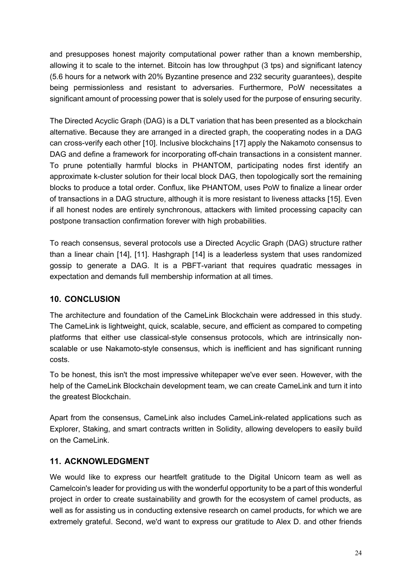and presupposes honest majority computational power rather than a known membership, allowing it to scale to the internet. Bitcoin has low throughput (3 tps) and significant latency (5.6 hours for a network with 20% Byzantine presence and 232 security guarantees), despite being permissionless and resistant to adversaries. Furthermore, PoW necessitates a significant amount of processing power that is solely used for the purpose of ensuring security.

The Directed Acyclic Graph (DAG) is a DLT variation that has been presented as a blockchain alternative. Because they are arranged in a directed graph, the cooperating nodes in a DAG can cross-verify each other [10]. Inclusive blockchains [17] apply the Nakamoto consensus to DAG and define a framework for incorporating off-chain transactions in a consistent manner. To prune potentially harmful blocks in PHANTOM, participating nodes first identify an approximate k-cluster solution for their local block DAG, then topologically sort the remaining blocks to produce a total order. Conflux, like PHANTOM, uses PoW to finalize a linear order of transactions in a DAG structure, although it is more resistant to liveness attacks [15]. Even if all honest nodes are entirely synchronous, attackers with limited processing capacity can postpone transaction confirmation forever with high probabilities.

To reach consensus, several protocols use a Directed Acyclic Graph (DAG) structure rather than a linear chain [14], [11]. Hashgraph [14] is a leaderless system that uses randomized gossip to generate a DAG. It is a PBFT-variant that requires quadratic messages in expectation and demands full membership information at all times.

### **10. CONCLUSION**

The architecture and foundation of the CameLink Blockchain were addressed in this study. The CameLink is lightweight, quick, scalable, secure, and efficient as compared to competing platforms that either use classical-style consensus protocols, which are intrinsically nonscalable or use Nakamoto-style consensus, which is inefficient and has significant running costs.

To be honest, this isn't the most impressive whitepaper we've ever seen. However, with the help of the CameLink Blockchain development team, we can create CameLink and turn it into the greatest Blockchain.

Apart from the consensus, CameLink also includes CameLink-related applications such as Explorer, Staking, and smart contracts written in Solidity, allowing developers to easily build on the CameLink.

# **11. ACKNOWLEDGMENT**

We would like to express our heartfelt gratitude to the Digital Unicorn team as well as Camelcoin's leader for providing us with the wonderful opportunity to be a part of this wonderful project in order to create sustainability and growth for the ecosystem of camel products, as well as for assisting us in conducting extensive research on camel products, for which we are extremely grateful. Second, we'd want to express our gratitude to Alex D. and other friends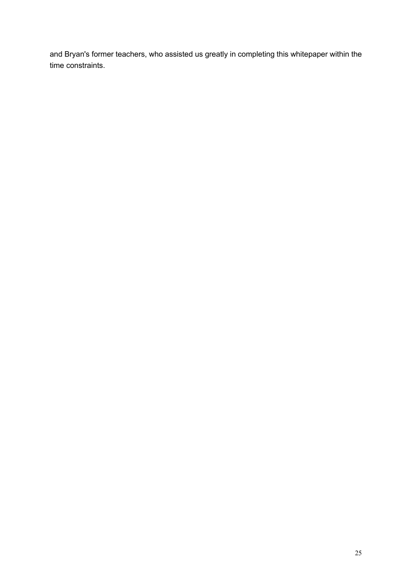and Bryan's former teachers, who assisted us greatly in completing this whitepaper within the time constraints.